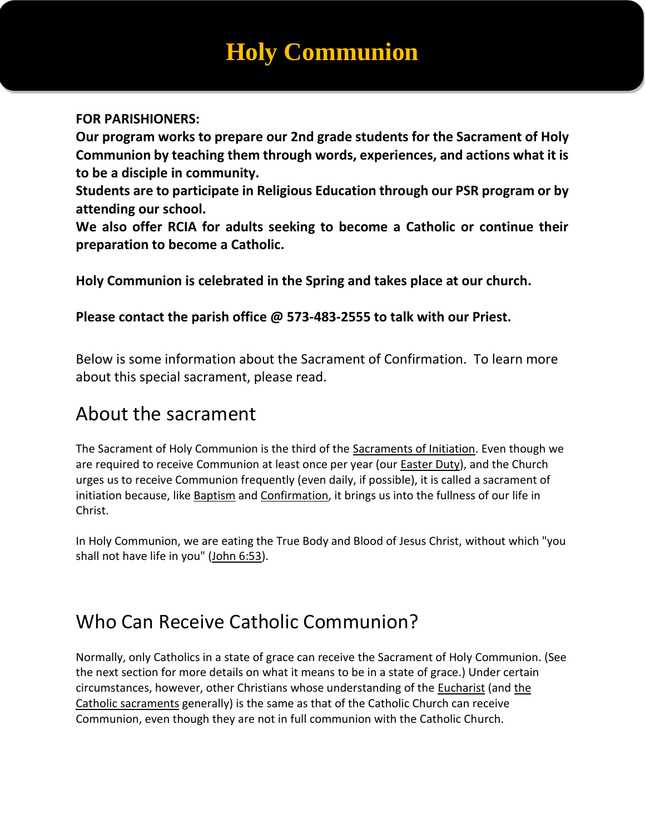# **Holy Communion**

#### **FOR PARISHIONERS:**

**Our program works to prepare our 2nd grade students for the Sacrament of Holy Communion by teaching them through words, experiences, and actions what it is to be a disciple in community.**

**Students are to participate in Religious Education through our PSR program or by attending our school.**

**We also offer RCIA for adults seeking to become a Catholic or continue their preparation to become a Catholic.**

**Holy Communion is celebrated in the Spring and takes place at our church.**

**Please contact the parish office @ 573-483-2555 to talk with our Priest.**

Below is some information about the Sacrament of Confirmation. To learn more about this special sacrament, please read.

#### About the sacrament

The Sacrament of Holy Communion is the third of the [Sacraments of Initiation.](https://www.thoughtco.com/the-sacraments-of-initiation-542133) Even though we are required to receive Communion at least once per year (our [Easter Duty\)](https://www.thoughtco.com/easter-in-the-catholic-church-542486), and the Church urges us to receive Communion frequently (even daily, if possible), it is called a sacrament of initiation because, like [Baptism](https://www.thoughtco.com/the-sacrament-of-baptism-542130) and [Confirmation,](https://www.thoughtco.com/the-sacrament-of-confirmation-542118) it brings us into the fullness of our life in Christ.

In Holy Communion, we are eating the True Body and Blood of Jesus Christ, without which "you shall not have life in you" [\(John 6:53\)](http://www.drbo.org/x/d?b=drb&bk=50&ch=6&l=54#x).

### Who Can Receive Catholic Communion?

Normally, only Catholics in a state of grace can receive the Sacrament of Holy Communion. (See the next section for more details on what it means to be in a state of grace.) Under certain circumstances, however, other Christians whose understanding of the [Eucharist](https://www.thoughtco.com/what-is-the-eucharist-542848) (and [the](https://www.thoughtco.com/sacraments-of-the-catholic-church-542136)  [Catholic sacraments](https://www.thoughtco.com/sacraments-of-the-catholic-church-542136) generally) is the same as that of the Catholic Church can receive Communion, even though they are not in full communion with the Catholic Church.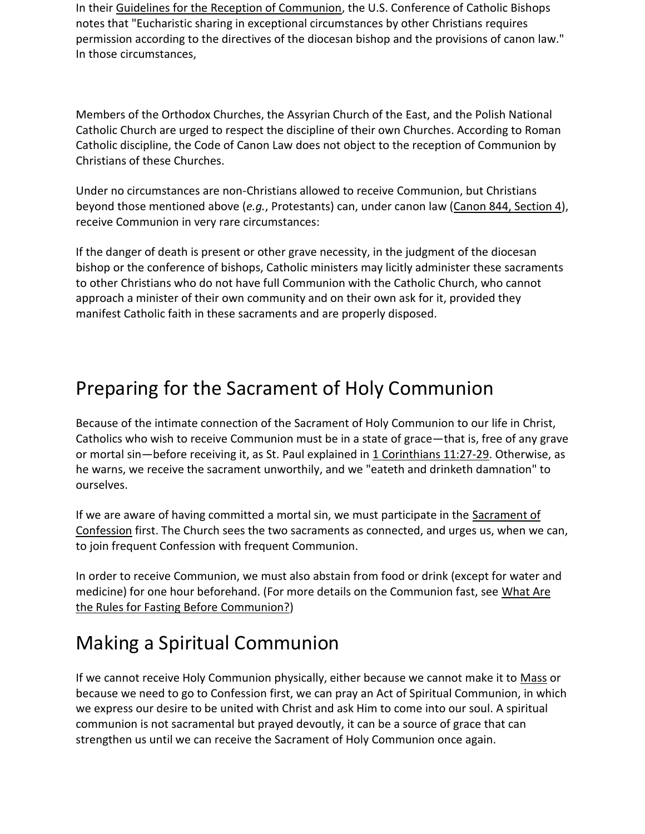In their [Guidelines for the Reception of Communion,](http://www.usccb.org/prayer-and-worship/the-mass/order-of-mass/liturgy-of-the-eucharist/guidelines-for-the-reception-of-communion.cfm) the U.S. Conference of Catholic Bishops notes that "Eucharistic sharing in exceptional circumstances by other Christians requires permission according to the directives of the diocesan bishop and the provisions of canon law." In those circumstances,

Members of the Orthodox Churches, the Assyrian Church of the East, and the Polish National Catholic Church are urged to respect the discipline of their own Churches. According to Roman Catholic discipline, the Code of Canon Law does not object to the reception of Communion by Christians of these Churches.

Under no circumstances are non-Christians allowed to receive Communion, but Christians beyond those mentioned above (*e.g.*, Protestants) can, under canon law [\(Canon 844, Section 4\)](http://www.vatican.va/archive/ENG1104/__P2T.HTM), receive Communion in very rare circumstances:

If the danger of death is present or other grave necessity, in the judgment of the diocesan bishop or the conference of bishops, Catholic ministers may licitly administer these sacraments to other Christians who do not have full Communion with the Catholic Church, who cannot approach a minister of their own community and on their own ask for it, provided they manifest Catholic faith in these sacraments and are properly disposed.

#### Preparing for the Sacrament of Holy Communion

Because of the intimate connection of the Sacrament of Holy Communion to our life in Christ, Catholics who wish to receive Communion must be in a state of grace—that is, free of any grave or mortal sin—before receiving it, as St. Paul explained in [1 Corinthians 11:27-29.](http://www.drbo.org/x/d?b=drb&bk=53&ch=11&l=27#x) Otherwise, as he warns, we receive the sacrament unworthily, and we "eateth and drinketh damnation" to ourselves.

If we are aware of having committed a mortal sin, we must participate in the Sacrament of [Confession](https://www.thoughtco.com/the-sacrament-of-confession-542139) first. The Church sees the two sacraments as connected, and urges us, when we can, to join frequent Confession with frequent Communion.

In order to receive Communion, we must also abstain from food or drink (except for water and medicine) for one hour beforehand. (For more details on the Communion fast, see [What Are](https://www.thoughtco.com/rules-for-fasting-before-communion-542845)  [the Rules for Fasting Before Communion?\)](https://www.thoughtco.com/rules-for-fasting-before-communion-542845)

### Making a Spiritual Communion

If we cannot receive Holy Communion physically, either because we cannot make it to [Mass](https://www.thoughtco.com/catholic-mass-542959) or because we need to go to Confession first, we can pray an Act of Spiritual Communion, in which we express our desire to be united with Christ and ask Him to come into our soul. A spiritual communion is not sacramental but prayed devoutly, it can be a source of grace that can strengthen us until we can receive the Sacrament of Holy Communion once again.